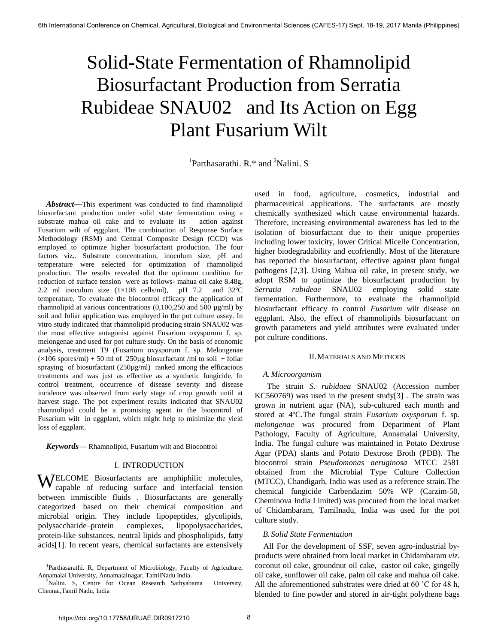# Solid-State Fermentation of Rhamnolipid Biosurfactant Production from Serratia Rubideae SNAU02 and Its Action on Egg Plant Fusarium Wilt

<sup>1</sup>Parthasarathi. R.\* and <sup>2</sup>Nalini. S

*Abstract***—**This experiment was conducted to find rhamnolipid biosurfactant production under solid state fermentation using a substrate mahua oil cake and to evaluate its action against Fusarium wilt of eggplant. The combination of Response Surface Methodology (RSM) and Central Composite Design (CCD) was employed to optimize higher biosurfactant production. The four factors viz,. Substrate concentration, inoculum size, pH and temperature were selected for optimization of rhamnolipid production. The results revealed that the optimum condition for reduction of surface tension were as follows- mahua oil cake 8.48g, 2.2 ml inoculum size  $(1 \times 108 \text{ cells/ml})$ , pH 7.2 and 32°C temperature. To evaluate the biocontrol efficacy the application of rhamnolipid at various concentrations (0,100,250 and 500 µg/ml) by soil and foliar application was employed in the pot culture assay. In vitro study indicated that rhamnolipid producing strain SNAU02 was the most effective antagonist against Fusarium oxysporum f. sp. melongenae and used for pot culture study. On the basis of economic analysis, treatment T9 (Fusarium oxysporum f. sp. Melongenae  $(\times 106$  spores/ml $) + 50$  ml of 250 µg biosurfactant /ml to soil + foliar spraying of biosurfactant  $(250\mu\text{g/ml})$  ranked among the efficacious treatments and was just as effective as a synthetic fungicide. In control treatment, occurrence of disease severity and disease incidence was observed from early stage of crop growth until at harvest stage. The pot experiment results indicated that SNAU02 rhamnolipid could be a promising agent in the biocontrol of Fusarium wilt in eggplant, which might help to minimize the yield loss of eggplant.

*Keywords***—** Rhamnolipid, Fusarium wilt and Biocontrol

## I. INTRODUCTION

**WELCOME** Biosurfactants are amphiphilic molecules, capable of reducing surface and interfacial tension capable of reducing surface and interfacial tension between immiscible fluids . Biosurfactants are generally categorized based on their chemical composition and microbial origin. They include lipopeptides, glycolipids, polysaccharide–protein complexes, lipopolysaccharides, protein-like substances, neutral lipids and phospholipids, fatty acids[1]. In recent years, chemical surfactants are extensively

used in food, agriculture, cosmetics, industrial and pharmaceutical applications. The surfactants are mostly chemically synthesized which cause environmental hazards. Therefore, increasing environmental awareness has led to the isolation of biosurfactant due to their unique properties including lower toxicity, lower Critical Micelle Concentration, higher biodegradability and ecofriendly. Most of the literature has reported the biosurfactant, effective against plant fungal pathogens [2,3]. Using Mahua oil cake, in present study, we adopt RSM to optimize the biosurfactant production by *Serratia rubideae* SNAU02 employing solid state fermentation. Furthermore, to evaluate the rhamnolipid biosurfactant efficacy to control *Fusarium* wilt disease on eggplant. Also, the effect of rhamnolipids biosurfactant on growth parameters and yield attributes were evaluated under pot culture conditions.

## II.MATERIALS AND METHODS

## *A.Microorganism*

 The strain *S. rubidaea* SNAU02 (Accession number KC560769) was used in the present study[3] . The strain was grown in nutrient agar (NA), sub-cultured each month and stored at 4ºC.The fungal strain *Fusarium oxysporum* f. sp*. melongenae* was procured from Department of Plant Pathology, Faculty of Agriculture, Annamalai University, India. The fungal culture was maintained in Potato Dextrose Agar (PDA) slants and Potato Dextrose Broth (PDB). The biocontrol strain *Pseudomonas aeruginosa* MTCC 2581 obtained from the Microbial Type Culture Collection (MTCC), Chandigarh, India was used as a reference strain.The chemical fungicide Carbendazim 50% WP (Carzim-50, Cheminova India Limited) was procured from the local market of Chidambaram, Tamilnadu, India was used for the pot culture study.

## *B. Solid State Fermentation*

 All For the development of SSF, seven agro-industrial byproducts were obtained from local market in Chidambaram *viz.*  coconut oil cake, groundnut oil cake, castor oil cake, gingelly oil cake, sunflower oil cake, palm oil cake and mahua oil cake. All the aforementioned substrates were dried at 60 ˚C for 48 h, blended to fine powder and stored in air-tight polythene bags

<sup>&</sup>lt;sup>1</sup>Parthasarathi. R, Department of Microbiology, Faculty of Agriculture, Annamalai University, Annamalainagar, TamilNadu India.

<sup>&</sup>lt;sup>2</sup>Nalini. S, Centre for Ocean Research Sathyabama University, Chennai,Tamil Nadu, India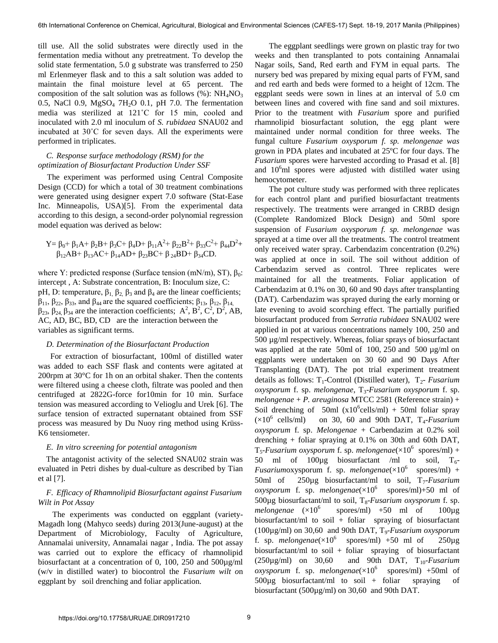till use. All the solid substrates were directly used in the fermentation media without any pretreatment. To develop the solid state fermentation, 5.0 g substrate was transferred to 250 ml Erlenmeyer flask and to this a salt solution was added to maintain the final moisture level at 65 percent. The composition of the salt solution was as follows  $%$ ): NH<sub>4</sub>NO<sub>3</sub> 0.5, NaCl 0.9,  $MgSO<sub>4</sub> 7H<sub>2</sub>O$  0.1, pH 7.0. The fermentation media was sterilized at 121˚C for 15 min, cooled and inoculated with 2.0 ml inoculum of *S. rubidaea* SNAU02 and incubated at 30˚C for seven days. All the experiments were performed in triplicates.

# *C. Response surface methodology (RSM) for the optimization of Biosurfactant Production Under SSF*

 The experiment was performed using Central Composite Design (CCD) for which a total of 30 treatment combinations were generated using designer expert 7.0 software (Stat-Ease Inc. Minneapolis, USA)[5]. From the experimental data according to this design, a second-order polynomial regression model equation was derived as below:

$$
Y=\beta _0+\beta _1A+\beta _2B+\beta _3C+\beta _4D+\beta _{11}A^2+\beta _{22}B^2+\beta _{33}C^2+\beta _{44}D^2+\beta _{12}AB+\beta _{13}AC+\beta _{14}AD+\beta _{23}BC+\beta _{24}BD+\beta _{34}CD.
$$

where Y: predicted response (Surface tension (mN/m), ST),  $\beta_0$ : intercept , A: Substrate concentration, B: Inoculum size, C: pH, D: temperature,  $β_1$ ,  $β_2$ ,  $β_3$  and  $β_4$  are the linear coefficients;  $β<sub>11</sub>, β<sub>22</sub>, β<sub>33</sub>, and β<sub>44</sub> are the squared coefficients; β<sub>13</sub>, β<sub>12</sub>, β<sub>14</sub>$  $β_{23}, β_{24}, β_{34}$  are the interaction coefficients; A<sup>2</sup>, B<sup>2</sup>, C<sup>2</sup>, D<sup>2</sup>, AB, AC, AD, BC, BD, CD are the interaction between the variables as significant terms.

#### *D. Determination of the Biosurfactant Production*

 For extraction of biosurfactant, 100ml of distilled water was added to each SSF flask and contents were agitated at 200rpm at 30°C for 1h on an orbital shaker. Then the contents were filtered using a cheese cloth, filtrate was pooled and then centrifuged at 2822G-force for10min for 10 min. Surface tension was measured according to Velioglu and Urek [6]. The surface tension of extracted supernatant obtained from SSF process was measured by Du Nuoy ring method using Krüss-K6 tensiometer.

## *E. In vitro screening for potential antagonism*

 The antagonist activity of the selected SNAU02 strain was evaluated in Petri dishes by dual-culture as described by Tian et al [7].

## *F. Efficacy of Rhamnolipid Biosurfactant against Fusarium Wilt in Pot Assay*

 The experiments was conducted on eggplant (variety-Magadh long (Mahyco seeds) during 2013(June-august) at the Department of Microbiology, Faculty of Agriculture, Annamalai university, Annamalai nagar , India. The pot assay was carried out to explore the efficacy of rhamnolipid biosurfactant at a concentration of 0, 100, 250 and 500µg/ml (w/v in distilled water) to biocontrol the *Fusarium wilt o*n eggplant by soil drenching and foliar application.

 The eggplant seedlings were grown on plastic tray for two weeks and then transplanted to pots containing Annamalai Nagar soils, Sand, Red earth and FYM in equal parts. The nursery bed was prepared by mixing equal parts of FYM, sand and red earth and beds were formed to a height of 12cm. The eggplant seeds were sown in lines at an interval of 5.0 cm between lines and covered with fine sand and soil mixtures. Prior to the treatment with *Fusarium* spore and purified rhamnolipid biosurfactant solution, the egg plant were maintained under normal condition for three weeks. The fungal culture *Fusarium oxysporum f. sp. melongenae was* grown in PDA plates and incubated at 25ºC for four days. The *Fusarium* spores were harvested according to Prasad et al. [8] and  $10<sup>6</sup>$ ml spores were adjusted with distilled water using hemocytometer.

 The pot culture study was performed with three replicates for each control plant and purified biosurfactant treatments respectively. The treatments were arranged in CRBD design (Complete Randomized Block Design) and 50ml spore suspension of *Fusarium oxysporum f. sp. melongenae* was sprayed at a time over all the treatments. The control treatment only received water spray. Carbendazim concentration (0.2%) was applied at once in soil. The soil without addition of Carbendazim served as control. Three replicates were maintained for all the treatments. Foliar application of Carbendazim at 0.1% on 30, 60 and 90 days after transplanting (DAT). Carbendazim was sprayed during the early morning or late evening to avoid scorching effect. The partially purified biosurfactant produced from *Serratia rubidaea* SNAU02 were applied in pot at various concentrations namely 100, 250 and 500 µg/ml respectively. Whereas, foliar sprays of biosurfactant was applied at the rate 50ml of 100, 250 and 500 µg/ml on eggplants were undertaken on 30 60 and 90 Days After Transplanting (DAT). The pot trial experiment treatment details as follows: T<sub>1</sub>-Control (Distilled water), T<sub>2</sub>- Fusarium *oxysporum* f. sp. *melongenae*, T3-*Fusarium oxysporum* f. sp. *melongenae* + *P. areuginosa* MTCC 2581 (Reference strain) + Soil drenching of 50ml  $(x10^6$ cells/ml) + 50ml foliar spray  $(\times 10^6 \text{ cells/ml})$ on 30, 60 and 90th DAT,  $T_4$ -*Fusarium oxysporum* f. sp. *Melongenae* + Carbendazim at 0.2% soil drenching + foliar spraying at 0.1% on 30th and 60th DAT, T5-*Fusarium oxysporum* f. sp. *melongenae*(×10<sup>6</sup> spores/ml) + 50 ml of 100 $\mu$ g biosurfactant /ml to soil,  $T_6$ - $Fusariumoxysporum$  f. sp.  $melongenae(\times 10^6$  spores/ml) + 50ml of  $250\mu$ g biosurfactant/ml to soil,  $T<sub>7</sub>$ -*Fusarium*  $oxysporum$  f. sp. *melongenae*( $\times 10^6$  spores/ml)+50 ml of 500µg biosurfactant/ml to soil, T<sub>8</sub>-*Fusarium oxysporum* f. sp.  $melongenae$   $(\times 10^6)$ spores/ml)  $+50$  ml of  $100\mu$ g biosurfactant/ml to soil + foliar spraying of biosurfactant (100µg/ml) on 30,60 and 90th DAT, T9-*Fusarium oxysporum* f. sp. *melongenae* $(\times 10^6$ spores/ml)  $+50$  ml of  $250\mu$ g biosurfactant/ml to soil + foliar spraying of biosurfactant  $(250\mu\text{g/ml})$  on 30,60 and 90th DAT, T<sub>10</sub>-Fusarium  $oxysporum$  f. sp. *melongenae*( $\times 10^6$  spores/ml) +50ml of 500µg biosurfactant/ml to soil + foliar spraying of biosurfactant (500µg/ml) on 30,60 and 90th DAT.